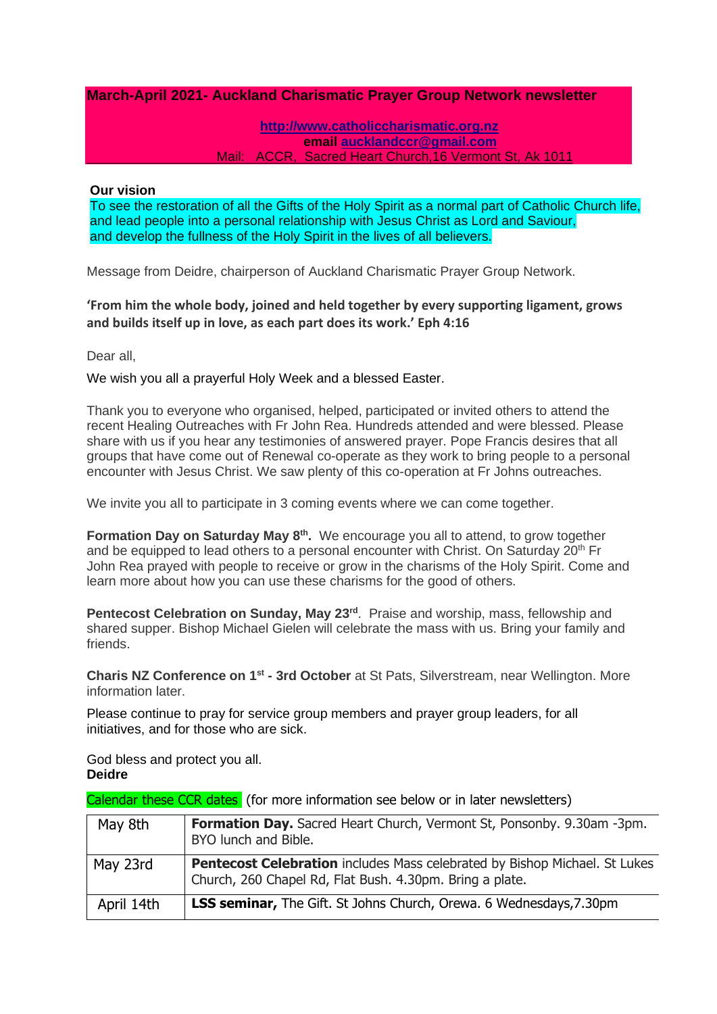## **March-April 2021- Auckland Charismatic Prayer Group Network newsletter**

#### **[http://www.catholiccharismatic.org.nz](http://www.catholiccharismatic.org.nz/)  email [aucklandccr@gmail.com](mailto:aucklandccr@gmail.com)** Mail: ACCR, Sacred Heart Church,16 Vermont St, Ak 1011

#### **Our vision**

To see the restoration of all the Gifts of the Holy Spirit as a normal part of Catholic Church life, and lead people into a personal relationship with Jesus Christ as Lord and Saviour, and develop the fullness of the Holy Spirit in the lives of all believers.

Message from Deidre, chairperson of Auckland Charismatic Prayer Group Network.

# **'From him the whole body, joined and held together by every supporting ligament, grows and builds itself up in love, as each part does its work.' Eph 4:16**

Dear all,

We wish you all a prayerful Holy Week and a blessed Easter.

Thank you to everyone who organised, helped, participated or invited others to attend the recent Healing Outreaches with Fr John Rea. Hundreds attended and were blessed. Please share with us if you hear any testimonies of answered prayer. Pope Francis desires that all groups that have come out of Renewal co-operate as they work to bring people to a personal encounter with Jesus Christ. We saw plenty of this co-operation at Fr Johns outreaches.

We invite you all to participate in 3 coming events where we can come together.

**Formation Day on Saturday May 8<sup>th</sup>.** We encourage you all to attend, to grow together and be equipped to lead others to a personal encounter with Christ. On Saturday  $20<sup>th</sup>$  Fr John Rea prayed with people to receive or grow in the charisms of the Holy Spirit. Come and learn more about how you can use these charisms for the good of others.

Pentecost Celebration on Sunday, May 23<sup>rd</sup>. Praise and worship, mass, fellowship and shared supper. Bishop Michael Gielen will celebrate the mass with us. Bring your family and friends.

**Charis NZ Conference on 1st - 3rd October** at St Pats, Silverstream, near Wellington. More information later.

Please continue to pray for service group members and prayer group leaders, for all initiatives, and for those who are sick.

God bless and protect you all. **Deidre**

Calendar these CCR dates (for more information see below or in later newsletters)

| May 8th    | <b>Formation Day.</b> Sacred Heart Church, Vermont St, Ponsonby. 9.30am -3pm.<br>BYO lunch and Bible.                                         |
|------------|-----------------------------------------------------------------------------------------------------------------------------------------------|
| May 23rd   | <b>Pentecost Celebration</b> includes Mass celebrated by Bishop Michael. St Lukes<br>Church, 260 Chapel Rd, Flat Bush. 4.30pm. Bring a plate. |
| April 14th | <b>LSS seminar,</b> The Gift. St Johns Church, Orewa. 6 Wednesdays, 7.30pm                                                                    |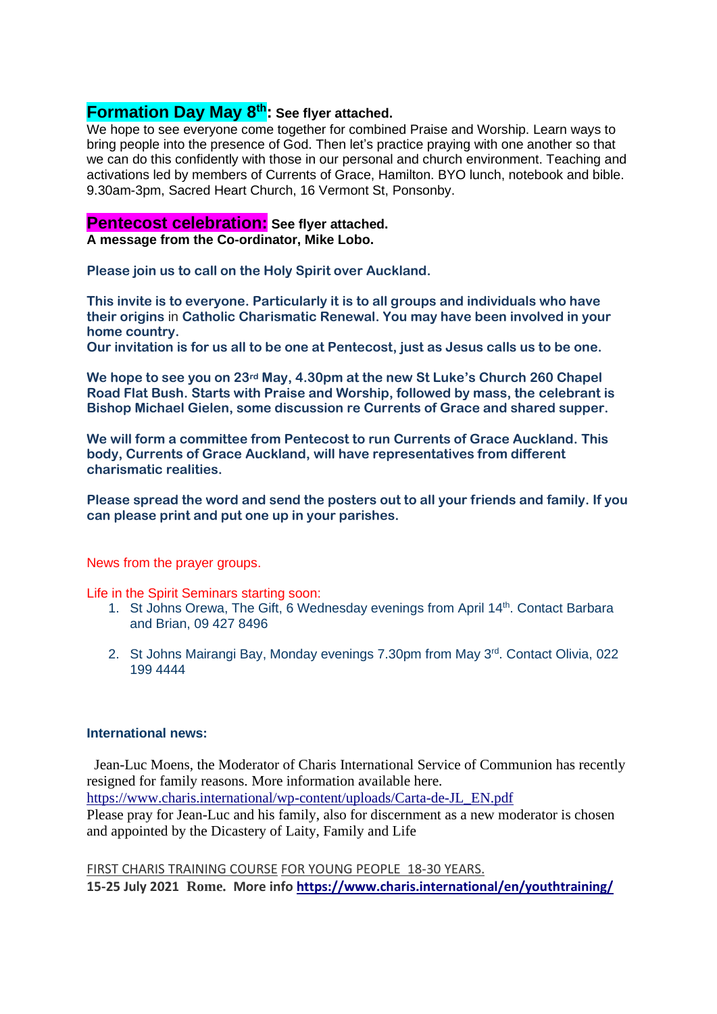# **Formation Day May 8th: See flyer attached.**

We hope to see everyone come together for combined Praise and Worship. Learn ways to bring people into the presence of God. Then let's practice praying with one another so that we can do this confidently with those in our personal and church environment. Teaching and activations led by members of Currents of Grace, Hamilton. BYO lunch, notebook and bible. 9.30am-3pm, Sacred Heart Church, 16 Vermont St, Ponsonby.

## **Pentecost celebration: See flyer attached.**

**A message from the Co-ordinator, Mike Lobo.**

**Please join us to call on the Holy Spirit over Auckland.**

**This invite is to everyone. Particularly it is to all groups and individuals who have their origins** in **Catholic Charismatic Renewal. You may have been involved in your home country.**

**Our invitation is for us all to be one at Pentecost, just as Jesus calls us to be one.**

**We hope to see you on 23rd May, 4.30pm at the new St Luke's Church 260 Chapel Road Flat Bush. Starts with Praise and Worship, followed by mass, the celebrant is Bishop Michael Gielen, some discussion re Currents of Grace and shared supper.**

**We will form a committee from Pentecost to run Currents of Grace Auckland. This body, Currents of Grace Auckland, will have representatives from different charismatic realities.**

**Please spread the word and send the posters out to all your friends and family. If you can please print and put one up in your parishes.**

News from the prayer groups.

Life in the Spirit Seminars starting soon:

- 1. St Johns Orewa, The Gift, 6 Wednesday evenings from April 14th. Contact Barbara and Brian, 09 427 8496
- 2. St Johns Mairangi Bay, Monday evenings 7.30pm from May 3<sup>rd</sup>. Contact Olivia, 022 199 4444

## **International news:**

Jean-Luc Moens, the Moderator of Charis International Service of Communion has recently resigned for family reasons. More information available here. [https://www.charis.international/wp-content/uploads/Carta-de-JL\\_EN.pdf](https://www.charis.international/wp-content/uploads/Carta-de-JL_EN.pdf) Please pray for Jean-Luc and his family, also for discernment as a new moderator is chosen and appointed by the Dicastery of Laity, Family and Life

FIRST CHARIS TRAINING COURSE FOR YOUNG PEOPLE 18-30 YEARS. **15-25 July 2021 Rome. More info <https://www.charis.international/en/youthtraining/>**